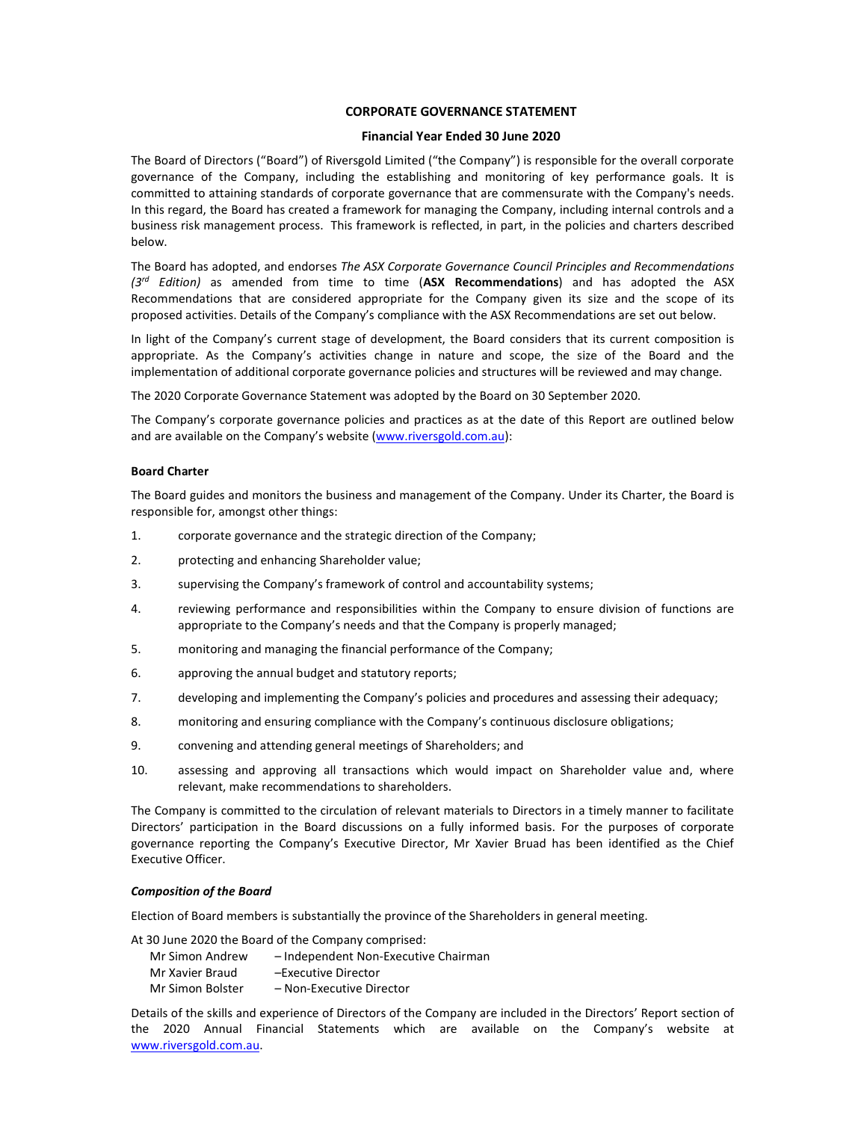# CORPORATE GOVERNANCE STATEMENT

# Financial Year Ended 30 June 2020

The Board of Directors ("Board") of Riversgold Limited ("the Company") is responsible for the overall corporate governance of the Company, including the establishing and monitoring of key performance goals. It is committed to attaining standards of corporate governance that are commensurate with the Company's needs. In this regard, the Board has created a framework for managing the Company, including internal controls and a business risk management process. This framework is reflected, in part, in the policies and charters described below.

The Board has adopted, and endorses The ASX Corporate Governance Council Principles and Recommendations  $(3<sup>rd</sup> Edition)$  as amended from time to time (ASX Recommendations) and has adopted the ASX Recommendations that are considered appropriate for the Company given its size and the scope of its proposed activities. Details of the Company's compliance with the ASX Recommendations are set out below.

In light of the Company's current stage of development, the Board considers that its current composition is appropriate. As the Company's activities change in nature and scope, the size of the Board and the implementation of additional corporate governance policies and structures will be reviewed and may change.

The 2020 Corporate Governance Statement was adopted by the Board on 30 September 2020.

The Company's corporate governance policies and practices as at the date of this Report are outlined below and are available on the Company's website (www.riversgold.com.au):

### Board Charter

The Board guides and monitors the business and management of the Company. Under its Charter, the Board is responsible for, amongst other things:

- 1. corporate governance and the strategic direction of the Company;
- 2. protecting and enhancing Shareholder value;
- 3. supervising the Company's framework of control and accountability systems;
- 4. reviewing performance and responsibilities within the Company to ensure division of functions are appropriate to the Company's needs and that the Company is properly managed;
- 5. monitoring and managing the financial performance of the Company;
- 6. approving the annual budget and statutory reports;
- 7. developing and implementing the Company's policies and procedures and assessing their adequacy;
- 8. monitoring and ensuring compliance with the Company's continuous disclosure obligations;
- 9. convening and attending general meetings of Shareholders; and
- 10. assessing and approving all transactions which would impact on Shareholder value and, where relevant, make recommendations to shareholders.

The Company is committed to the circulation of relevant materials to Directors in a timely manner to facilitate Directors' participation in the Board discussions on a fully informed basis. For the purposes of corporate governance reporting the Company's Executive Director, Mr Xavier Bruad has been identified as the Chief Executive Officer.

# Composition of the Board

Election of Board members is substantially the province of the Shareholders in general meeting.

At 30 June 2020 the Board of the Company comprised:

- Mr Simon Andrew Independent Non-Executive Chairman Mr Xavier Braud –Executive Director
- Mr Simon Bolster Non-Executive Director

Details of the skills and experience of Directors of the Company are included in the Directors' Report section of the 2020 Annual Financial Statements which are available on the Company's website at www.riversgold.com.au.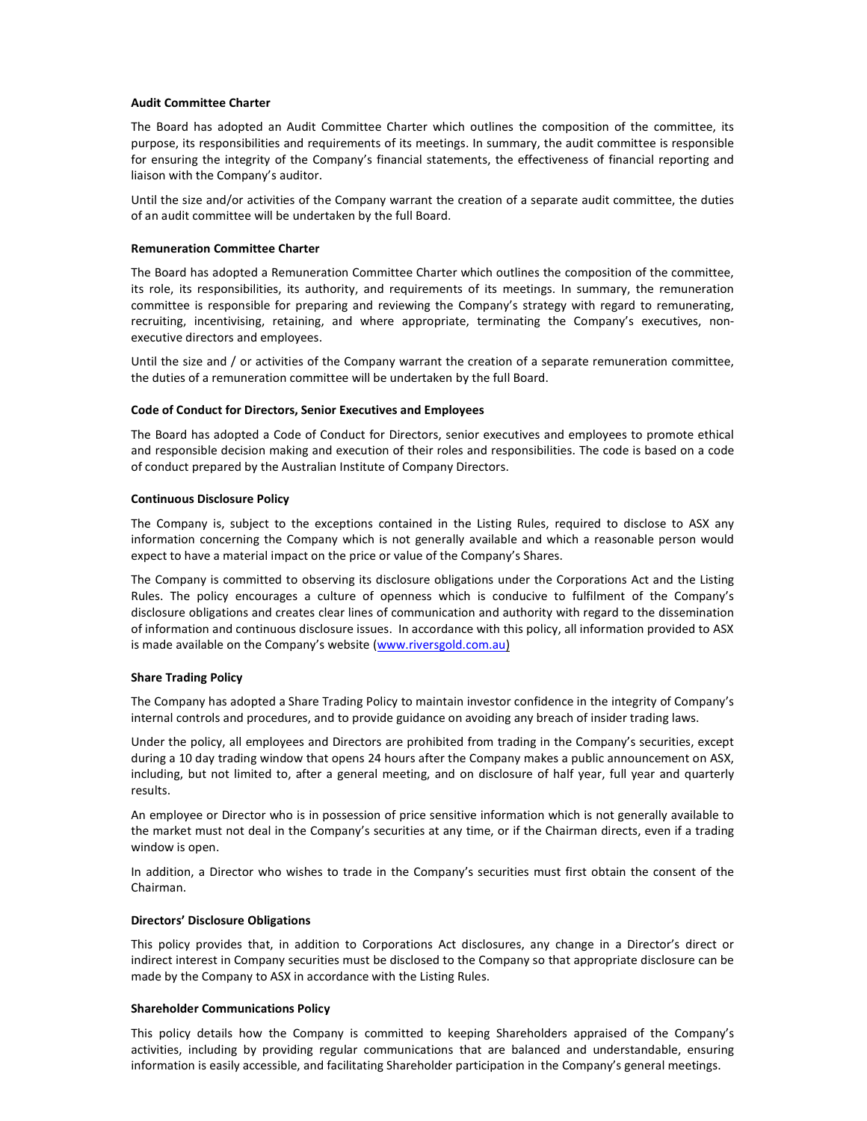# Audit Committee Charter

The Board has adopted an Audit Committee Charter which outlines the composition of the committee, its purpose, its responsibilities and requirements of its meetings. In summary, the audit committee is responsible for ensuring the integrity of the Company's financial statements, the effectiveness of financial reporting and liaison with the Company's auditor.

Until the size and/or activities of the Company warrant the creation of a separate audit committee, the duties of an audit committee will be undertaken by the full Board.

## Remuneration Committee Charter

The Board has adopted a Remuneration Committee Charter which outlines the composition of the committee, its role, its responsibilities, its authority, and requirements of its meetings. In summary, the remuneration committee is responsible for preparing and reviewing the Company's strategy with regard to remunerating, recruiting, incentivising, retaining, and where appropriate, terminating the Company's executives, nonexecutive directors and employees.

Until the size and / or activities of the Company warrant the creation of a separate remuneration committee, the duties of a remuneration committee will be undertaken by the full Board.

# Code of Conduct for Directors, Senior Executives and Employees

The Board has adopted a Code of Conduct for Directors, senior executives and employees to promote ethical and responsible decision making and execution of their roles and responsibilities. The code is based on a code of conduct prepared by the Australian Institute of Company Directors.

# Continuous Disclosure Policy

The Company is, subject to the exceptions contained in the Listing Rules, required to disclose to ASX any information concerning the Company which is not generally available and which a reasonable person would expect to have a material impact on the price or value of the Company's Shares.

The Company is committed to observing its disclosure obligations under the Corporations Act and the Listing Rules. The policy encourages a culture of openness which is conducive to fulfilment of the Company's disclosure obligations and creates clear lines of communication and authority with regard to the dissemination of information and continuous disclosure issues. In accordance with this policy, all information provided to ASX is made available on the Company's website (www.riversgold.com.au)

#### Share Trading Policy

The Company has adopted a Share Trading Policy to maintain investor confidence in the integrity of Company's internal controls and procedures, and to provide guidance on avoiding any breach of insider trading laws.

Under the policy, all employees and Directors are prohibited from trading in the Company's securities, except during a 10 day trading window that opens 24 hours after the Company makes a public announcement on ASX, including, but not limited to, after a general meeting, and on disclosure of half year, full year and quarterly results.

An employee or Director who is in possession of price sensitive information which is not generally available to the market must not deal in the Company's securities at any time, or if the Chairman directs, even if a trading window is open.

In addition, a Director who wishes to trade in the Company's securities must first obtain the consent of the Chairman.

# Directors' Disclosure Obligations

This policy provides that, in addition to Corporations Act disclosures, any change in a Director's direct or indirect interest in Company securities must be disclosed to the Company so that appropriate disclosure can be made by the Company to ASX in accordance with the Listing Rules.

## Shareholder Communications Policy

This policy details how the Company is committed to keeping Shareholders appraised of the Company's activities, including by providing regular communications that are balanced and understandable, ensuring information is easily accessible, and facilitating Shareholder participation in the Company's general meetings.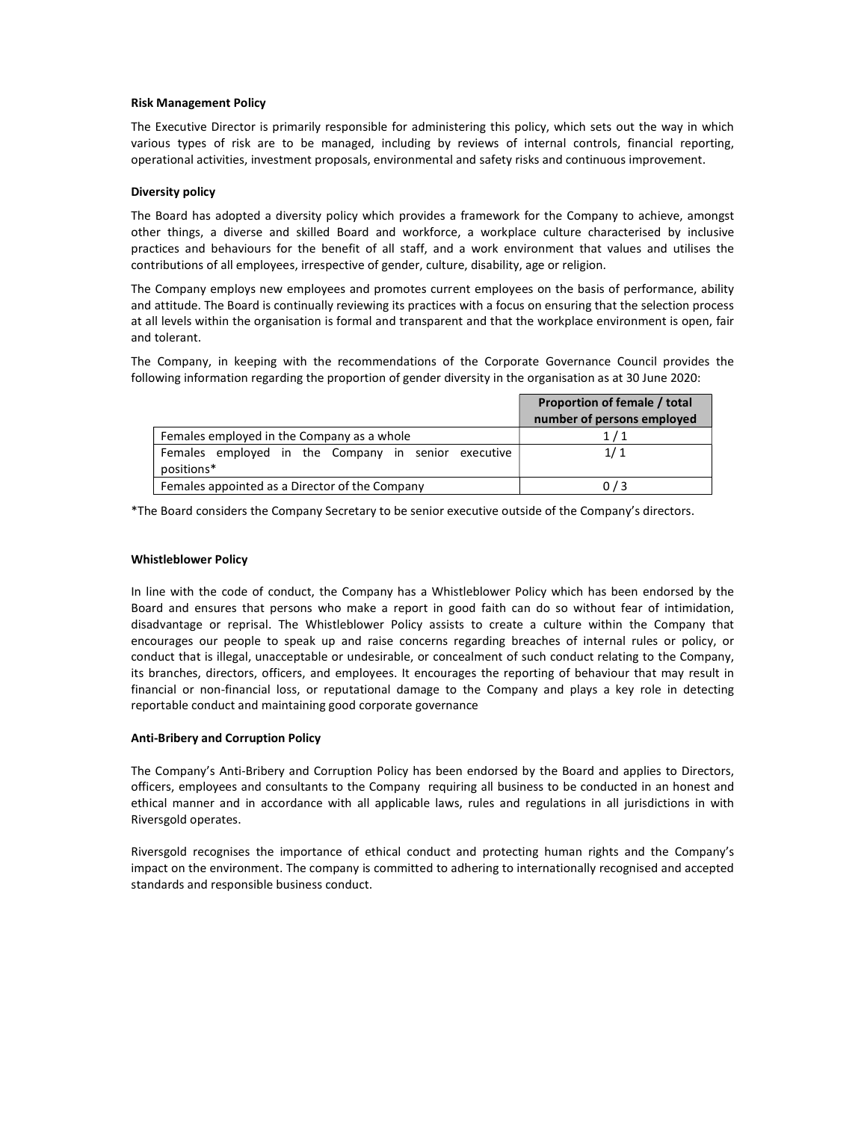# Risk Management Policy

The Executive Director is primarily responsible for administering this policy, which sets out the way in which various types of risk are to be managed, including by reviews of internal controls, financial reporting, operational activities, investment proposals, environmental and safety risks and continuous improvement.

## Diversity policy

The Board has adopted a diversity policy which provides a framework for the Company to achieve, amongst other things, a diverse and skilled Board and workforce, a workplace culture characterised by inclusive practices and behaviours for the benefit of all staff, and a work environment that values and utilises the contributions of all employees, irrespective of gender, culture, disability, age or religion.

The Company employs new employees and promotes current employees on the basis of performance, ability and attitude. The Board is continually reviewing its practices with a focus on ensuring that the selection process at all levels within the organisation is formal and transparent and that the workplace environment is open, fair and tolerant.

The Company, in keeping with the recommendations of the Corporate Governance Council provides the following information regarding the proportion of gender diversity in the organisation as at 30 June 2020:

|                                                                   | Proportion of female / total<br>number of persons employed |
|-------------------------------------------------------------------|------------------------------------------------------------|
| Females employed in the Company as a whole                        | 1/1                                                        |
| Females employed in the Company in senior executive<br>positions* | 1/1                                                        |
| Females appointed as a Director of the Company                    | 0/3                                                        |

\*The Board considers the Company Secretary to be senior executive outside of the Company's directors.

## Whistleblower Policy

In line with the code of conduct, the Company has a Whistleblower Policy which has been endorsed by the Board and ensures that persons who make a report in good faith can do so without fear of intimidation, disadvantage or reprisal. The Whistleblower Policy assists to create a culture within the Company that encourages our people to speak up and raise concerns regarding breaches of internal rules or policy, or conduct that is illegal, unacceptable or undesirable, or concealment of such conduct relating to the Company, its branches, directors, officers, and employees. It encourages the reporting of behaviour that may result in financial or non-financial loss, or reputational damage to the Company and plays a key role in detecting reportable conduct and maintaining good corporate governance

# Anti-Bribery and Corruption Policy

The Company's Anti-Bribery and Corruption Policy has been endorsed by the Board and applies to Directors, officers, employees and consultants to the Company requiring all business to be conducted in an honest and ethical manner and in accordance with all applicable laws, rules and regulations in all jurisdictions in with Riversgold operates.

Riversgold recognises the importance of ethical conduct and protecting human rights and the Company's impact on the environment. The company is committed to adhering to internationally recognised and accepted standards and responsible business conduct.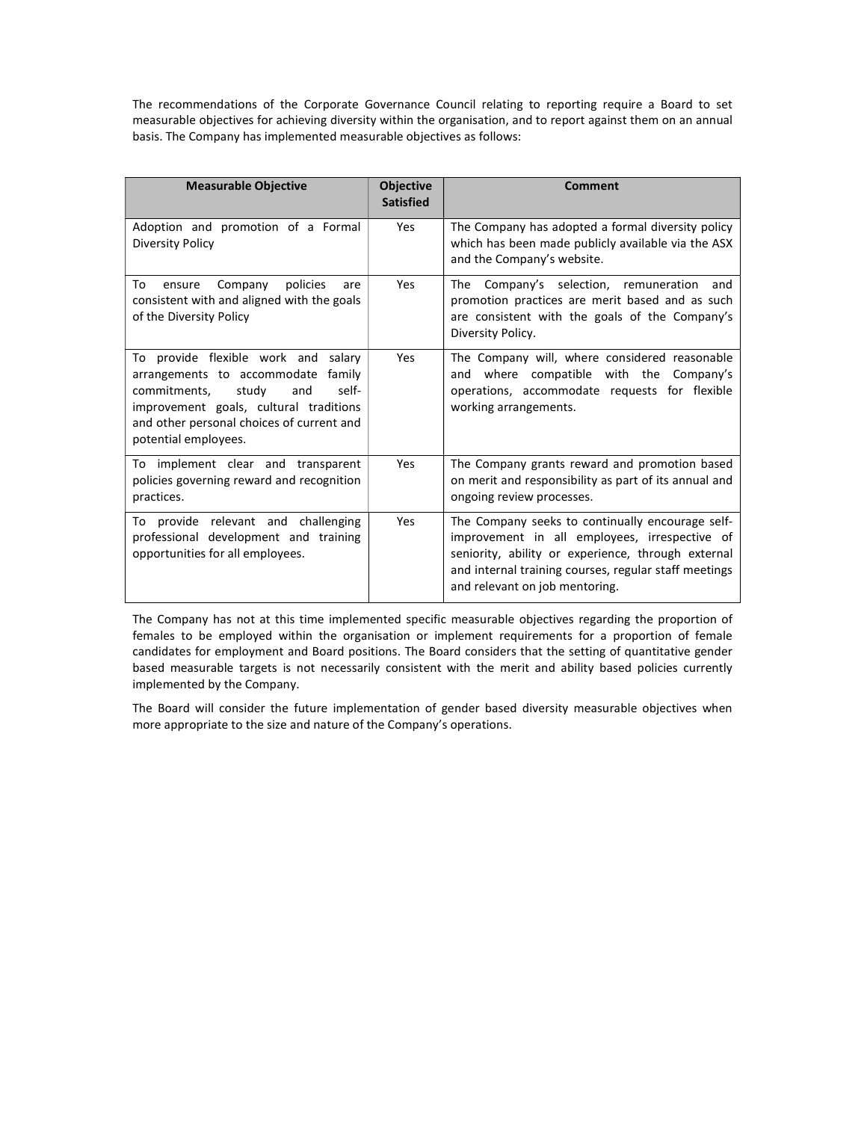The recommendations of the Corporate Governance Council relating to reporting require a Board to set measurable objectives for achieving diversity within the organisation, and to report against them on an annual basis. The Company has implemented measurable objectives as follows:

| <b>Measurable Objective</b>                                                                                                                                                                                                          | <b>Objective</b><br><b>Satisfied</b> | <b>Comment</b>                                                                                                                                                                                                                                     |
|--------------------------------------------------------------------------------------------------------------------------------------------------------------------------------------------------------------------------------------|--------------------------------------|----------------------------------------------------------------------------------------------------------------------------------------------------------------------------------------------------------------------------------------------------|
| Adoption and promotion of a Formal<br><b>Diversity Policy</b>                                                                                                                                                                        | Yes                                  | The Company has adopted a formal diversity policy<br>which has been made publicly available via the ASX<br>and the Company's website.                                                                                                              |
| Company<br>policies<br>To<br>ensure<br>are<br>consistent with and aligned with the goals<br>of the Diversity Policy                                                                                                                  | Yes                                  | The Company's selection, remuneration and<br>promotion practices are merit based and as such<br>are consistent with the goals of the Company's<br>Diversity Policy.                                                                                |
| To provide flexible work and salary<br>arrangements to accommodate<br>family<br>study<br>commitments,<br>and<br>self-<br>improvement goals, cultural traditions<br>and other personal choices of current and<br>potential employees. | Yes                                  | The Company will, where considered reasonable<br>and where compatible with the Company's<br>operations, accommodate requests for flexible<br>working arrangements.                                                                                 |
| To implement clear and transparent<br>policies governing reward and recognition<br>practices.                                                                                                                                        | Yes                                  | The Company grants reward and promotion based<br>on merit and responsibility as part of its annual and<br>ongoing review processes.                                                                                                                |
| To provide relevant and challenging<br>professional development and training<br>opportunities for all employees.                                                                                                                     | Yes                                  | The Company seeks to continually encourage self-<br>improvement in all employees, irrespective of<br>seniority, ability or experience, through external<br>and internal training courses, regular staff meetings<br>and relevant on job mentoring. |

The Company has not at this time implemented specific measurable objectives regarding the proportion of females to be employed within the organisation or implement requirements for a proportion of female candidates for employment and Board positions. The Board considers that the setting of quantitative gender based measurable targets is not necessarily consistent with the merit and ability based policies currently implemented by the Company.

The Board will consider the future implementation of gender based diversity measurable objectives when more appropriate to the size and nature of the Company's operations.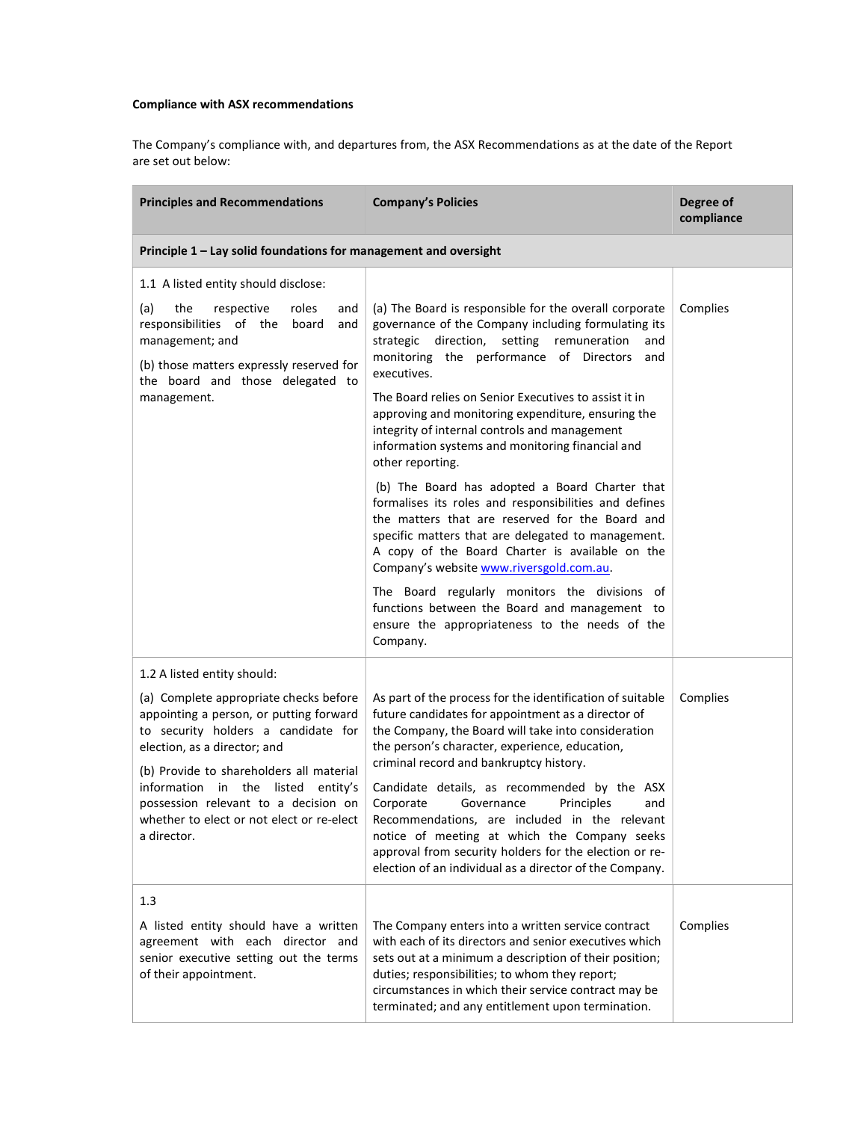# Compliance with ASX recommendations

The Company's compliance with, and departures from, the ASX Recommendations as at the date of the Report are set out below:

| <b>Principles and Recommendations</b>                                                                                                                                                                | <b>Company's Policies</b>                                                                                                                                                                                                                                                                                                             | Degree of<br>compliance |
|------------------------------------------------------------------------------------------------------------------------------------------------------------------------------------------------------|---------------------------------------------------------------------------------------------------------------------------------------------------------------------------------------------------------------------------------------------------------------------------------------------------------------------------------------|-------------------------|
| Principle 1 - Lay solid foundations for management and oversight                                                                                                                                     |                                                                                                                                                                                                                                                                                                                                       |                         |
| 1.1 A listed entity should disclose:                                                                                                                                                                 |                                                                                                                                                                                                                                                                                                                                       |                         |
| (a)<br>the<br>respective<br>roles<br>and<br>responsibilities of the<br>board<br>and<br>management; and<br>(b) those matters expressly reserved for<br>the board and those delegated to               | (a) The Board is responsible for the overall corporate<br>governance of the Company including formulating its<br>strategic direction, setting remuneration<br>and<br>monitoring the performance of Directors and<br>executives.                                                                                                       | Complies                |
| management.                                                                                                                                                                                          | The Board relies on Senior Executives to assist it in<br>approving and monitoring expenditure, ensuring the<br>integrity of internal controls and management<br>information systems and monitoring financial and<br>other reporting.                                                                                                  |                         |
|                                                                                                                                                                                                      | (b) The Board has adopted a Board Charter that<br>formalises its roles and responsibilities and defines<br>the matters that are reserved for the Board and<br>specific matters that are delegated to management.<br>A copy of the Board Charter is available on the<br>Company's website www.riversgold.com.au.                       |                         |
|                                                                                                                                                                                                      | The Board regularly monitors the divisions of<br>functions between the Board and management to<br>ensure the appropriateness to the needs of the<br>Company.                                                                                                                                                                          |                         |
| 1.2 A listed entity should:                                                                                                                                                                          |                                                                                                                                                                                                                                                                                                                                       |                         |
| (a) Complete appropriate checks before<br>appointing a person, or putting forward<br>to security holders a candidate for<br>election, as a director; and<br>(b) Provide to shareholders all material | As part of the process for the identification of suitable<br>future candidates for appointment as a director of<br>the Company, the Board will take into consideration<br>the person's character, experience, education,<br>criminal record and bankruptcy history.                                                                   | Complies                |
| information in the listed entity's<br>possession relevant to a decision on<br>whether to elect or not elect or re-elect<br>a director.                                                               | Candidate details, as recommended by the ASX<br>Corporate<br>Principles<br>Governance<br>and<br>Recommendations, are included in the relevant<br>notice of meeting at which the Company seeks<br>approval from security holders for the election or re-<br>election of an individual as a director of the Company.                    |                         |
| 1.3                                                                                                                                                                                                  |                                                                                                                                                                                                                                                                                                                                       |                         |
| A listed entity should have a written<br>agreement with each director and<br>senior executive setting out the terms<br>of their appointment.                                                         | The Company enters into a written service contract<br>with each of its directors and senior executives which<br>sets out at a minimum a description of their position;<br>duties; responsibilities; to whom they report;<br>circumstances in which their service contract may be<br>terminated; and any entitlement upon termination. | Complies                |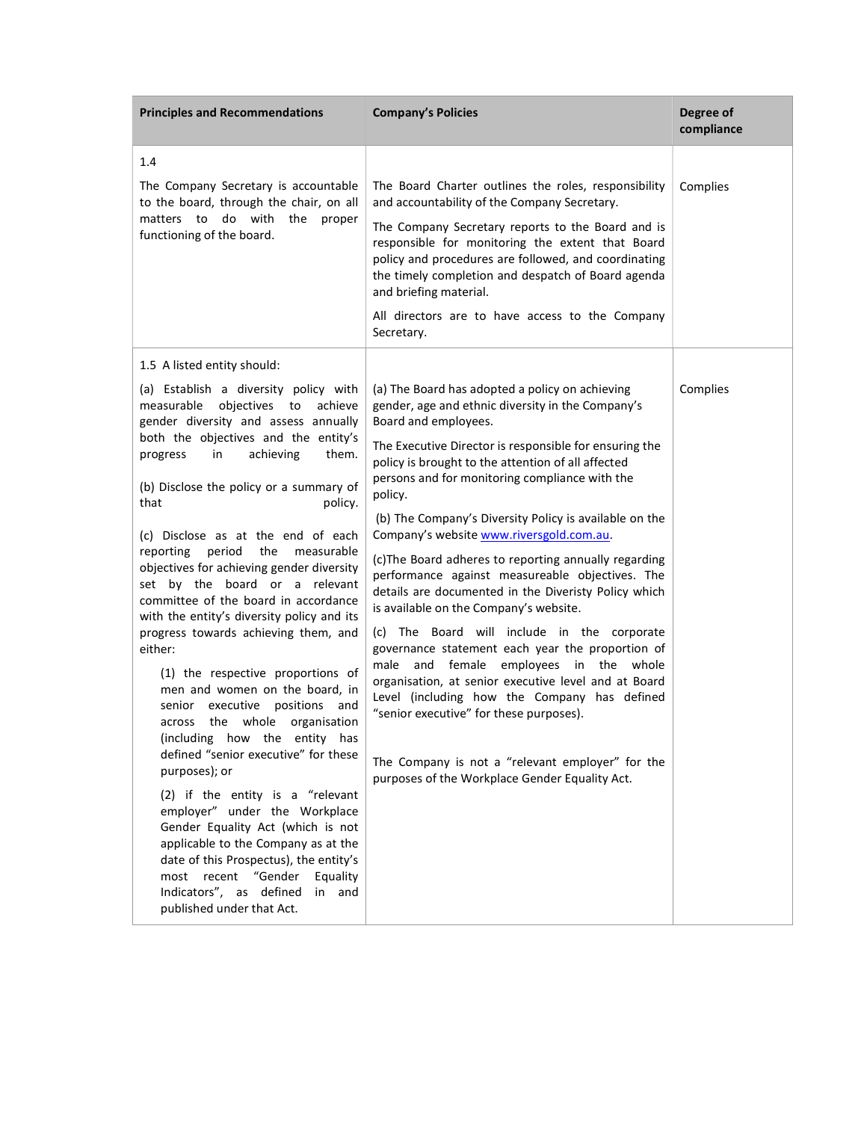| <b>Principles and Recommendations</b>                                                                                                                                                                                                                                                                                                                                                                                                                                                                                                                                                                                                                                                                                                                                                                                                                                                                                                                                                                                                                                                                                                 | <b>Company's Policies</b>                                                                                                                                                                                                                                                                                                                                                                                                                                                                                                                                                                                                                                                                                                                                                                                                                                                                                                                                                                                                           | Degree of<br>compliance |
|---------------------------------------------------------------------------------------------------------------------------------------------------------------------------------------------------------------------------------------------------------------------------------------------------------------------------------------------------------------------------------------------------------------------------------------------------------------------------------------------------------------------------------------------------------------------------------------------------------------------------------------------------------------------------------------------------------------------------------------------------------------------------------------------------------------------------------------------------------------------------------------------------------------------------------------------------------------------------------------------------------------------------------------------------------------------------------------------------------------------------------------|-------------------------------------------------------------------------------------------------------------------------------------------------------------------------------------------------------------------------------------------------------------------------------------------------------------------------------------------------------------------------------------------------------------------------------------------------------------------------------------------------------------------------------------------------------------------------------------------------------------------------------------------------------------------------------------------------------------------------------------------------------------------------------------------------------------------------------------------------------------------------------------------------------------------------------------------------------------------------------------------------------------------------------------|-------------------------|
| 1.4                                                                                                                                                                                                                                                                                                                                                                                                                                                                                                                                                                                                                                                                                                                                                                                                                                                                                                                                                                                                                                                                                                                                   |                                                                                                                                                                                                                                                                                                                                                                                                                                                                                                                                                                                                                                                                                                                                                                                                                                                                                                                                                                                                                                     |                         |
| The Company Secretary is accountable<br>to the board, through the chair, on all<br>do with<br>matters to<br>the<br>proper<br>functioning of the board.                                                                                                                                                                                                                                                                                                                                                                                                                                                                                                                                                                                                                                                                                                                                                                                                                                                                                                                                                                                | The Board Charter outlines the roles, responsibility<br>and accountability of the Company Secretary.<br>The Company Secretary reports to the Board and is<br>responsible for monitoring the extent that Board<br>policy and procedures are followed, and coordinating<br>the timely completion and despatch of Board agenda<br>and briefing material.<br>All directors are to have access to the Company<br>Secretary.                                                                                                                                                                                                                                                                                                                                                                                                                                                                                                                                                                                                              | Complies                |
| 1.5 A listed entity should:                                                                                                                                                                                                                                                                                                                                                                                                                                                                                                                                                                                                                                                                                                                                                                                                                                                                                                                                                                                                                                                                                                           |                                                                                                                                                                                                                                                                                                                                                                                                                                                                                                                                                                                                                                                                                                                                                                                                                                                                                                                                                                                                                                     |                         |
| (a) Establish a diversity policy with<br>measurable<br>objectives<br>to<br>achieve<br>gender diversity and assess annually<br>both the objectives and the entity's<br>achieving<br>them.<br>progress<br>in<br>(b) Disclose the policy or a summary of<br>that<br>policy.<br>(c) Disclose as at the end of each<br>reporting<br>period<br>the<br>measurable<br>objectives for achieving gender diversity<br>set by the board or a relevant<br>committee of the board in accordance<br>with the entity's diversity policy and its<br>progress towards achieving them, and<br>either:<br>(1) the respective proportions of<br>men and women on the board, in<br>executive<br>positions<br>and<br>senior<br>whole organisation<br>the<br>across<br>(including how the entity has<br>defined "senior executive" for these<br>purposes); or<br>(2) if the entity is a "relevant<br>employer" under the Workplace<br>Gender Equality Act (which is not<br>applicable to the Company as at the<br>date of this Prospectus), the entity's<br>most recent "Gender<br>Equality<br>Indicators", as defined<br>in and<br>published under that Act. | (a) The Board has adopted a policy on achieving<br>gender, age and ethnic diversity in the Company's<br>Board and employees.<br>The Executive Director is responsible for ensuring the<br>policy is brought to the attention of all affected<br>persons and for monitoring compliance with the<br>policy.<br>(b) The Company's Diversity Policy is available on the<br>Company's website www.riversgold.com.au.<br>(c) The Board adheres to reporting annually regarding<br>performance against measureable objectives. The<br>details are documented in the Diveristy Policy which<br>is available on the Company's website.<br>(c) The Board will include in the corporate<br>governance statement each year the proportion of<br>male and female employees in the whole<br>organisation, at senior executive level and at Board<br>Level (including how the Company has defined<br>"senior executive" for these purposes).<br>The Company is not a "relevant employer" for the<br>purposes of the Workplace Gender Equality Act. | Complies                |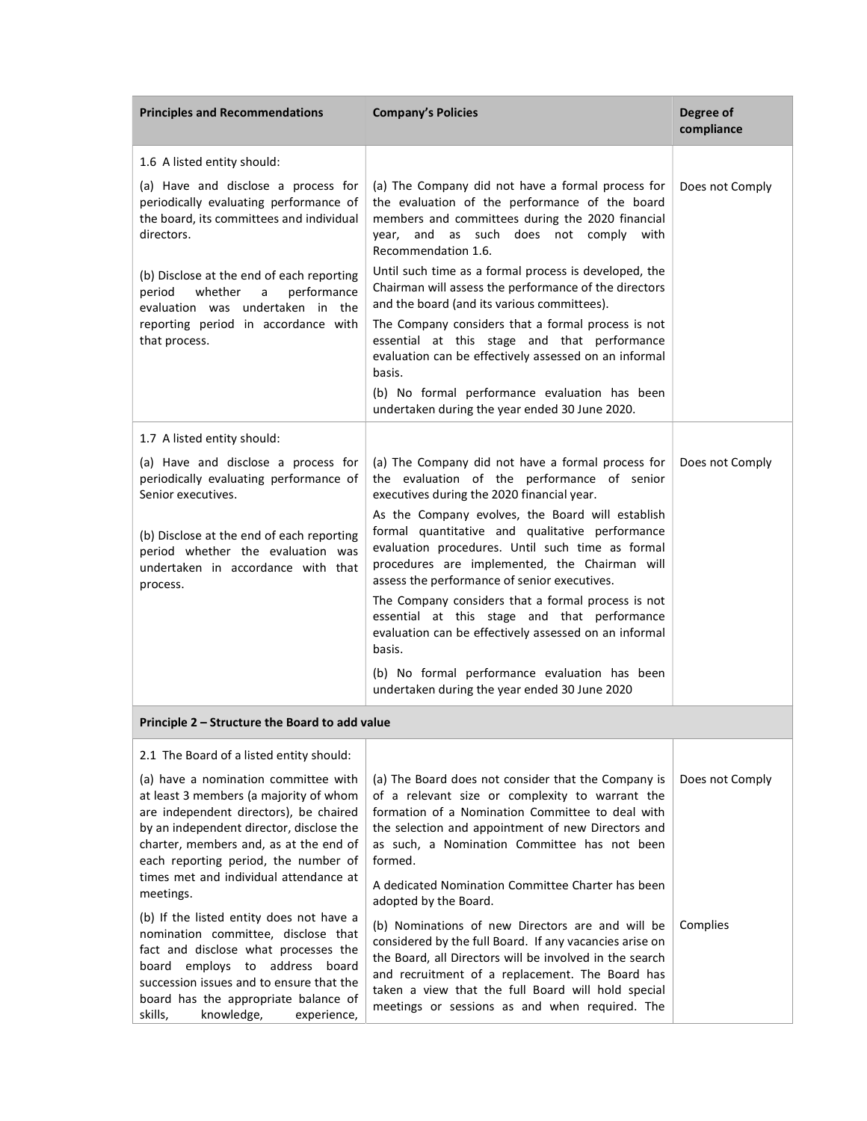| <b>Principles and Recommendations</b>                                                                                                                                                                                                                                                 | <b>Company's Policies</b>                                                                                                                                                                                                                                                                                                         | Degree of<br>compliance |
|---------------------------------------------------------------------------------------------------------------------------------------------------------------------------------------------------------------------------------------------------------------------------------------|-----------------------------------------------------------------------------------------------------------------------------------------------------------------------------------------------------------------------------------------------------------------------------------------------------------------------------------|-------------------------|
| 1.6 A listed entity should:                                                                                                                                                                                                                                                           |                                                                                                                                                                                                                                                                                                                                   |                         |
| (a) Have and disclose a process for<br>periodically evaluating performance of<br>the board, its committees and individual<br>directors.                                                                                                                                               | (a) The Company did not have a formal process for<br>the evaluation of the performance of the board<br>members and committees during the 2020 financial<br>and as such does not comply with<br>year,<br>Recommendation 1.6.                                                                                                       | Does not Comply         |
| (b) Disclose at the end of each reporting<br>whether<br>performance<br>period<br>a<br>evaluation was undertaken in the<br>reporting period in accordance with                                                                                                                         | Until such time as a formal process is developed, the<br>Chairman will assess the performance of the directors<br>and the board (and its various committees).<br>The Company considers that a formal process is not                                                                                                               |                         |
| that process.                                                                                                                                                                                                                                                                         | essential at this stage and that performance<br>evaluation can be effectively assessed on an informal<br>basis.                                                                                                                                                                                                                   |                         |
|                                                                                                                                                                                                                                                                                       | (b) No formal performance evaluation has been<br>undertaken during the year ended 30 June 2020.                                                                                                                                                                                                                                   |                         |
| 1.7 A listed entity should:                                                                                                                                                                                                                                                           |                                                                                                                                                                                                                                                                                                                                   |                         |
| (a) Have and disclose a process for<br>periodically evaluating performance of<br>Senior executives.                                                                                                                                                                                   | (a) The Company did not have a formal process for<br>the evaluation of the performance of senior<br>executives during the 2020 financial year.                                                                                                                                                                                    | Does not Comply         |
| (b) Disclose at the end of each reporting<br>period whether the evaluation was<br>undertaken in accordance with that<br>process.                                                                                                                                                      | As the Company evolves, the Board will establish<br>formal quantitative and qualitative performance<br>evaluation procedures. Until such time as formal<br>procedures are implemented, the Chairman will<br>assess the performance of senior executives.                                                                          |                         |
|                                                                                                                                                                                                                                                                                       | The Company considers that a formal process is not<br>essential at this stage and that performance<br>evaluation can be effectively assessed on an informal<br>basis.                                                                                                                                                             |                         |
|                                                                                                                                                                                                                                                                                       | (b) No formal performance evaluation has been<br>undertaken during the year ended 30 June 2020                                                                                                                                                                                                                                    |                         |
| Principle 2 – Structure the Board to add value                                                                                                                                                                                                                                        |                                                                                                                                                                                                                                                                                                                                   |                         |
| 2.1 The Board of a listed entity should:                                                                                                                                                                                                                                              |                                                                                                                                                                                                                                                                                                                                   |                         |
| (a) have a nomination committee with<br>at least 3 members (a majority of whom<br>are independent directors), be chaired<br>by an independent director, disclose the<br>charter, members and, as at the end of<br>each reporting period, the number of                                | (a) The Board does not consider that the Company is<br>of a relevant size or complexity to warrant the<br>formation of a Nomination Committee to deal with<br>the selection and appointment of new Directors and<br>as such, a Nomination Committee has not been<br>formed.                                                       | Does not Comply         |
| times met and individual attendance at<br>meetings.                                                                                                                                                                                                                                   | A dedicated Nomination Committee Charter has been<br>adopted by the Board.                                                                                                                                                                                                                                                        |                         |
| (b) If the listed entity does not have a<br>nomination committee, disclose that<br>fact and disclose what processes the<br>board employs to address board<br>succession issues and to ensure that the<br>board has the appropriate balance of<br>skills,<br>knowledge,<br>experience, | (b) Nominations of new Directors are and will be<br>considered by the full Board. If any vacancies arise on<br>the Board, all Directors will be involved in the search<br>and recruitment of a replacement. The Board has<br>taken a view that the full Board will hold special<br>meetings or sessions as and when required. The | Complies                |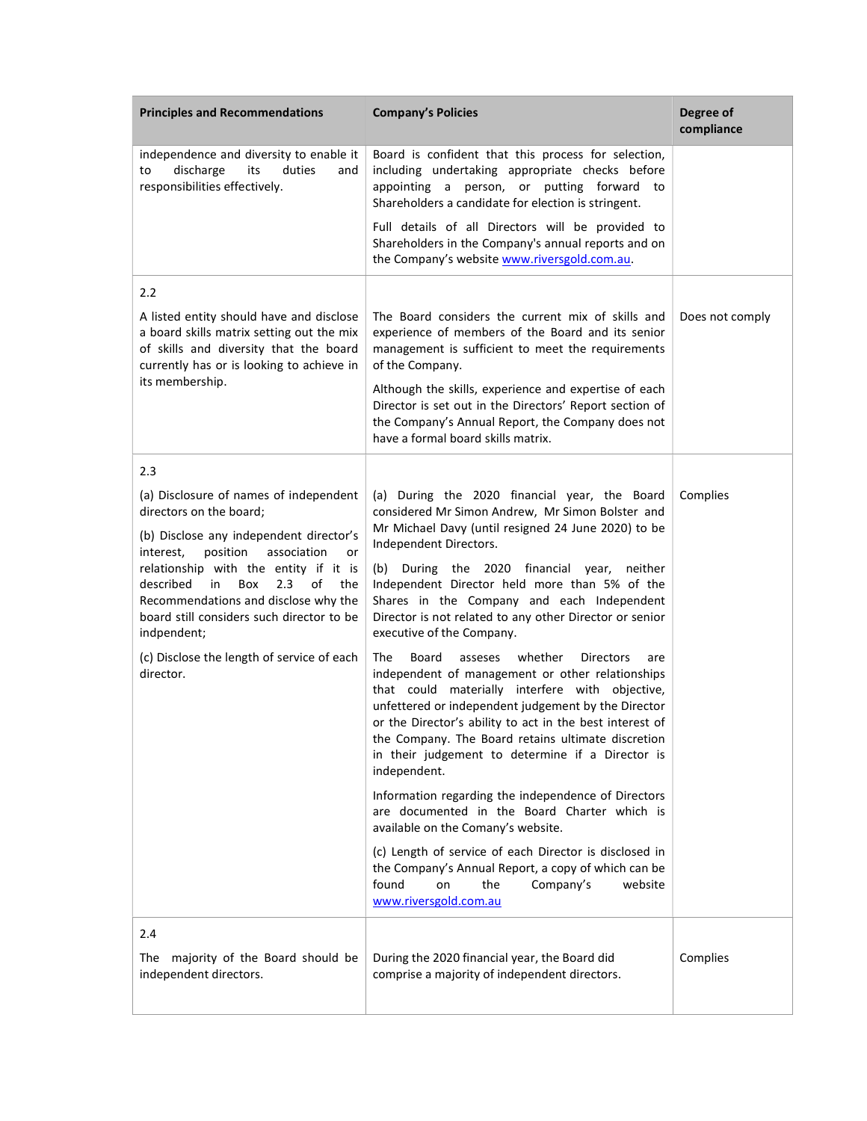| <b>Principles and Recommendations</b>                                                                                                                                                                                | <b>Company's Policies</b>                                                                                                                                                                                                                                                                                                                                                                                                | Degree of<br>compliance |
|----------------------------------------------------------------------------------------------------------------------------------------------------------------------------------------------------------------------|--------------------------------------------------------------------------------------------------------------------------------------------------------------------------------------------------------------------------------------------------------------------------------------------------------------------------------------------------------------------------------------------------------------------------|-------------------------|
| independence and diversity to enable it<br>discharge<br>its<br>duties<br>and<br>to<br>responsibilities effectively.                                                                                                  | Board is confident that this process for selection,<br>including undertaking appropriate checks before<br>appointing a person, or putting forward to<br>Shareholders a candidate for election is stringent.                                                                                                                                                                                                              |                         |
|                                                                                                                                                                                                                      | Full details of all Directors will be provided to<br>Shareholders in the Company's annual reports and on<br>the Company's website www.riversgold.com.au.                                                                                                                                                                                                                                                                 |                         |
| 2.2                                                                                                                                                                                                                  |                                                                                                                                                                                                                                                                                                                                                                                                                          |                         |
| A listed entity should have and disclose<br>a board skills matrix setting out the mix<br>of skills and diversity that the board<br>currently has or is looking to achieve in                                         | The Board considers the current mix of skills and<br>experience of members of the Board and its senior<br>management is sufficient to meet the requirements<br>of the Company.                                                                                                                                                                                                                                           | Does not comply         |
| its membership.                                                                                                                                                                                                      | Although the skills, experience and expertise of each<br>Director is set out in the Directors' Report section of<br>the Company's Annual Report, the Company does not<br>have a formal board skills matrix.                                                                                                                                                                                                              |                         |
| 2.3                                                                                                                                                                                                                  |                                                                                                                                                                                                                                                                                                                                                                                                                          |                         |
| (a) Disclosure of names of independent<br>directors on the board;                                                                                                                                                    | (a) During the 2020 financial year, the Board<br>considered Mr Simon Andrew, Mr Simon Bolster and                                                                                                                                                                                                                                                                                                                        | Complies                |
| (b) Disclose any independent director's<br>position<br>interest,<br>association<br>or<br>relationship with the entity if it is<br>Box<br>2.3<br>described<br>in<br>of<br>the<br>Recommendations and disclose why the | Mr Michael Davy (until resigned 24 June 2020) to be<br>Independent Directors.<br>During the 2020 financial year, neither<br>(b)<br>Independent Director held more than 5% of the<br>Shares in the Company and each Independent                                                                                                                                                                                           |                         |
| board still considers such director to be<br>indpendent;                                                                                                                                                             | Director is not related to any other Director or senior<br>executive of the Company.                                                                                                                                                                                                                                                                                                                                     |                         |
| (c) Disclose the length of service of each<br>director.                                                                                                                                                              | <b>The</b><br>Board<br>asseses<br>whether<br><b>Directors</b><br>are<br>independent of management or other relationships<br>that could materially interfere with objective,<br>unfettered or independent judgement by the Director<br>or the Director's ability to act in the best interest of<br>the Company. The Board retains ultimate discretion<br>in their judgement to determine if a Director is<br>independent. |                         |
|                                                                                                                                                                                                                      | Information regarding the independence of Directors<br>are documented in the Board Charter which is<br>available on the Comany's website.                                                                                                                                                                                                                                                                                |                         |
|                                                                                                                                                                                                                      | (c) Length of service of each Director is disclosed in<br>the Company's Annual Report, a copy of which can be<br>Company's<br>found<br>on<br>the<br>website<br>www.riversgold.com.au                                                                                                                                                                                                                                     |                         |
| 2.4                                                                                                                                                                                                                  |                                                                                                                                                                                                                                                                                                                                                                                                                          |                         |
| majority of the Board should be<br>The<br>independent directors.                                                                                                                                                     | During the 2020 financial year, the Board did<br>comprise a majority of independent directors.                                                                                                                                                                                                                                                                                                                           | Complies                |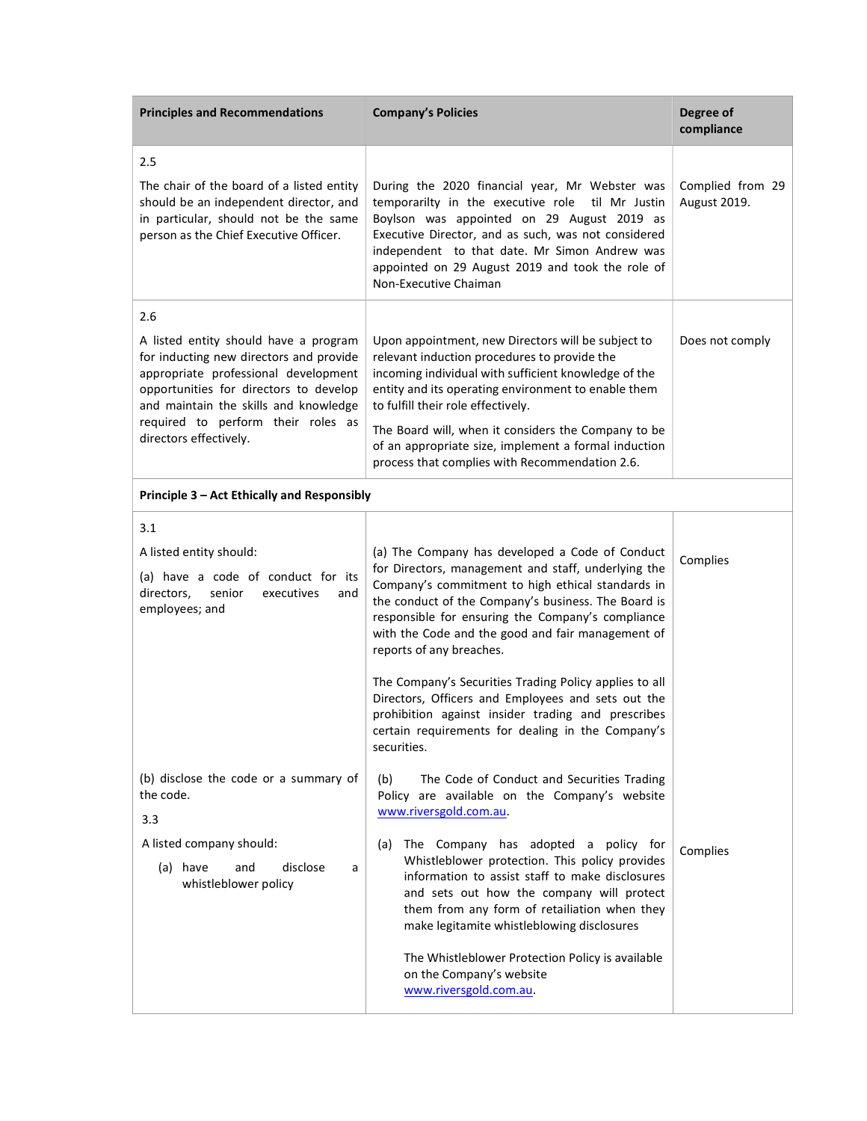| <b>Principles and Recommendations</b>                                                                                                                                                                       | <b>Company's Policies</b>                                                                                                                                                                                                                                                                                                                                                                             | Degree of<br>compliance          |
|-------------------------------------------------------------------------------------------------------------------------------------------------------------------------------------------------------------|-------------------------------------------------------------------------------------------------------------------------------------------------------------------------------------------------------------------------------------------------------------------------------------------------------------------------------------------------------------------------------------------------------|----------------------------------|
| 2.5                                                                                                                                                                                                         |                                                                                                                                                                                                                                                                                                                                                                                                       |                                  |
| The chair of the board of a listed entity<br>should be an independent director, and<br>in particular, should not be the same<br>person as the Chief Executive Officer.                                      | During the 2020 financial year, Mr Webster was<br>temporarilty in the executive role<br>til Mr Justin<br>Boylson was appointed on 29 August 2019 as<br>Executive Director, and as such, was not considered<br>independent to that date. Mr Simon Andrew was<br>appointed on 29 August 2019 and took the role of<br>Non-Executive Chaiman                                                              | Complied from 29<br>August 2019. |
| 2.6                                                                                                                                                                                                         |                                                                                                                                                                                                                                                                                                                                                                                                       |                                  |
| A listed entity should have a program<br>for inducting new directors and provide<br>appropriate professional development<br>opportunities for directors to develop<br>and maintain the skills and knowledge | Upon appointment, new Directors will be subject to<br>relevant induction procedures to provide the<br>incoming individual with sufficient knowledge of the<br>entity and its operating environment to enable them<br>to fulfill their role effectively.                                                                                                                                               | Does not comply                  |
| required to perform their roles as<br>directors effectively.                                                                                                                                                | The Board will, when it considers the Company to be<br>of an appropriate size, implement a formal induction<br>process that complies with Recommendation 2.6.                                                                                                                                                                                                                                         |                                  |
| Principle 3 - Act Ethically and Responsibly                                                                                                                                                                 |                                                                                                                                                                                                                                                                                                                                                                                                       |                                  |
| 3.1                                                                                                                                                                                                         |                                                                                                                                                                                                                                                                                                                                                                                                       |                                  |
| A listed entity should:<br>(a) have a code of conduct for its<br>directors,<br>senior<br>executives<br>and<br>employees; and                                                                                | (a) The Company has developed a Code of Conduct<br>for Directors, management and staff, underlying the<br>Company's commitment to high ethical standards in<br>the conduct of the Company's business. The Board is<br>responsible for ensuring the Company's compliance<br>with the Code and the good and fair management of<br>reports of any breaches.                                              | Complies                         |
|                                                                                                                                                                                                             | The Company's Securities Trading Policy applies to all<br>Directors, Officers and Employees and sets out the<br>prohibition against insider trading and prescribes<br>certain requirements for dealing in the Company's<br>securities.                                                                                                                                                                |                                  |
| (b) disclose the code or a summary of<br>the code.<br>3.3                                                                                                                                                   | (b)<br>The Code of Conduct and Securities Trading<br>Policy are available on the Company's website<br>www.riversgold.com.au.                                                                                                                                                                                                                                                                          |                                  |
| A listed company should:<br>(a) have<br>and<br>disclose<br>a<br>whistleblower policy                                                                                                                        | The Company has adopted a policy for<br>(a)<br>Whistleblower protection. This policy provides<br>information to assist staff to make disclosures<br>and sets out how the company will protect<br>them from any form of retailiation when they<br>make legitamite whistleblowing disclosures<br>The Whistleblower Protection Policy is available<br>on the Company's website<br>www.riversgold.com.au. | Complies                         |
|                                                                                                                                                                                                             |                                                                                                                                                                                                                                                                                                                                                                                                       |                                  |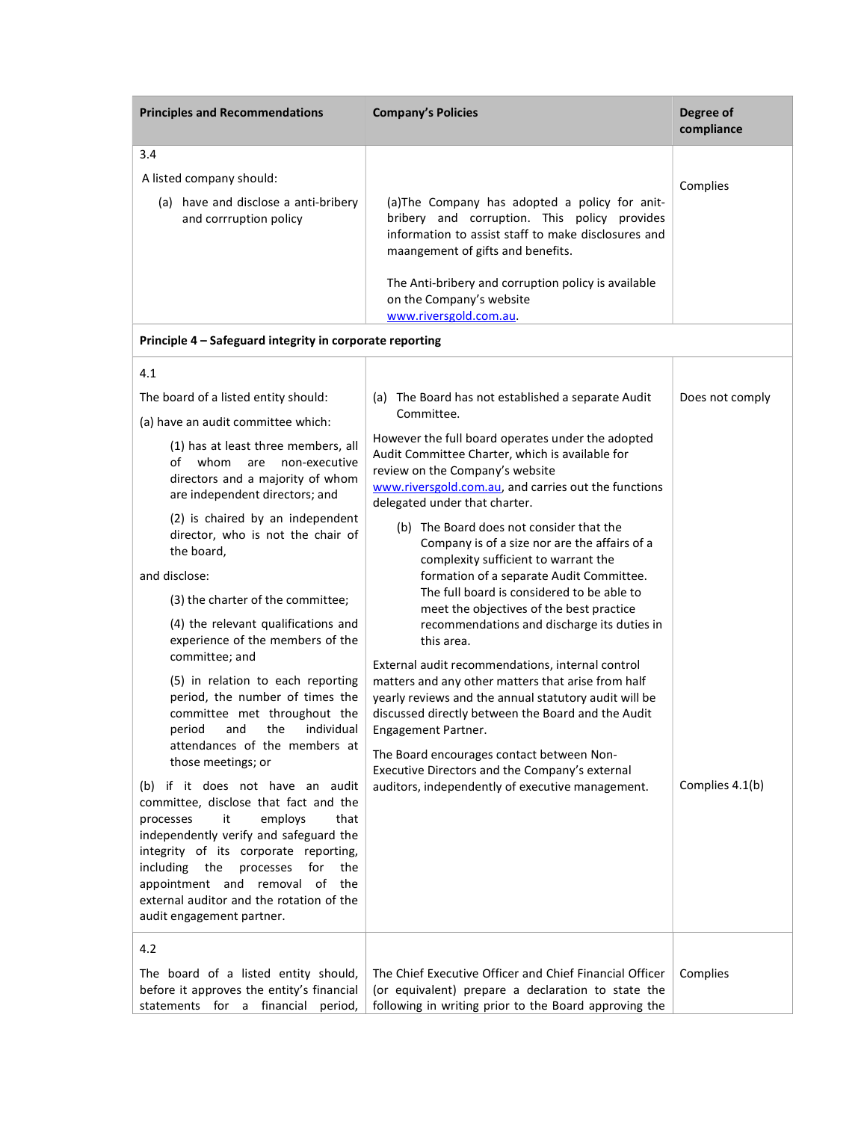| <b>Principles and Recommendations</b>                                                      | <b>Company's Policies</b>                                                                                                                                                                                                                                                                               | Degree of<br>compliance |
|--------------------------------------------------------------------------------------------|---------------------------------------------------------------------------------------------------------------------------------------------------------------------------------------------------------------------------------------------------------------------------------------------------------|-------------------------|
| 3.4                                                                                        |                                                                                                                                                                                                                                                                                                         |                         |
| A listed company should:<br>(a) have and disclose a anti-bribery<br>and corrruption policy | (a) The Company has adopted a policy for anit-<br>bribery and corruption. This policy provides<br>information to assist staff to make disclosures and<br>maangement of gifts and benefits.<br>The Anti-bribery and corruption policy is available<br>on the Company's website<br>www.riversgold.com.au. | Complies                |
| Principle 4 – Safeguard integrity in corporate reporting                                   |                                                                                                                                                                                                                                                                                                         |                         |
| 41                                                                                         |                                                                                                                                                                                                                                                                                                         |                         |

| 4.1                                                                                                                                                                                                                                                                                                                                                                                                                                                                                                                                                                                                                                                                                                                                                                                                                                                                                                                                                   |                                                                                                                                                                                                                                                                                                                                                                                                                                                                                                                                                                                                                                                                                                                                                                                                                                                                                                                                                                             |                 |
|-------------------------------------------------------------------------------------------------------------------------------------------------------------------------------------------------------------------------------------------------------------------------------------------------------------------------------------------------------------------------------------------------------------------------------------------------------------------------------------------------------------------------------------------------------------------------------------------------------------------------------------------------------------------------------------------------------------------------------------------------------------------------------------------------------------------------------------------------------------------------------------------------------------------------------------------------------|-----------------------------------------------------------------------------------------------------------------------------------------------------------------------------------------------------------------------------------------------------------------------------------------------------------------------------------------------------------------------------------------------------------------------------------------------------------------------------------------------------------------------------------------------------------------------------------------------------------------------------------------------------------------------------------------------------------------------------------------------------------------------------------------------------------------------------------------------------------------------------------------------------------------------------------------------------------------------------|-----------------|
| The board of a listed entity should:<br>(a) have an audit committee which:                                                                                                                                                                                                                                                                                                                                                                                                                                                                                                                                                                                                                                                                                                                                                                                                                                                                            | (a) The Board has not established a separate Audit<br>Committee.                                                                                                                                                                                                                                                                                                                                                                                                                                                                                                                                                                                                                                                                                                                                                                                                                                                                                                            | Does not comply |
| (1) has at least three members, all<br>of whom<br>are non-executive<br>directors and a majority of whom<br>are independent directors; and<br>(2) is chaired by an independent<br>director, who is not the chair of<br>the board.<br>and disclose:<br>(3) the charter of the committee;<br>(4) the relevant qualifications and<br>experience of the members of the<br>committee; and<br>(5) in relation to each reporting<br>period, the number of times the<br>committee met throughout the<br>and<br>the<br>individual<br>period<br>attendances of the members at<br>those meetings; or<br>(b) if it does not have an audit<br>committee, disclose that fact and the<br>processes<br>it<br>employs<br>that<br>independently verify and safeguard the<br>integrity of its corporate reporting,<br>including the<br>processes<br>for<br>the<br>appointment and removal of the<br>external auditor and the rotation of the<br>audit engagement partner. | However the full board operates under the adopted<br>Audit Committee Charter, which is available for<br>review on the Company's website<br>www.riversgold.com.au, and carries out the functions<br>delegated under that charter.<br>(b) The Board does not consider that the<br>Company is of a size nor are the affairs of a<br>complexity sufficient to warrant the<br>formation of a separate Audit Committee.<br>The full board is considered to be able to<br>meet the objectives of the best practice<br>recommendations and discharge its duties in<br>this area.<br>External audit recommendations, internal control<br>matters and any other matters that arise from half<br>yearly reviews and the annual statutory audit will be<br>discussed directly between the Board and the Audit<br>Engagement Partner.<br>The Board encourages contact between Non-<br>Executive Directors and the Company's external<br>auditors, independently of executive management. | Complies 4.1(b) |
| 4.2<br>The board of a listed entity should,<br>before it approves the entity's financial<br>statements for a financial<br>period,                                                                                                                                                                                                                                                                                                                                                                                                                                                                                                                                                                                                                                                                                                                                                                                                                     | The Chief Executive Officer and Chief Financial Officer<br>(or equivalent) prepare a declaration to state the<br>following in writing prior to the Board approving the                                                                                                                                                                                                                                                                                                                                                                                                                                                                                                                                                                                                                                                                                                                                                                                                      | Complies        |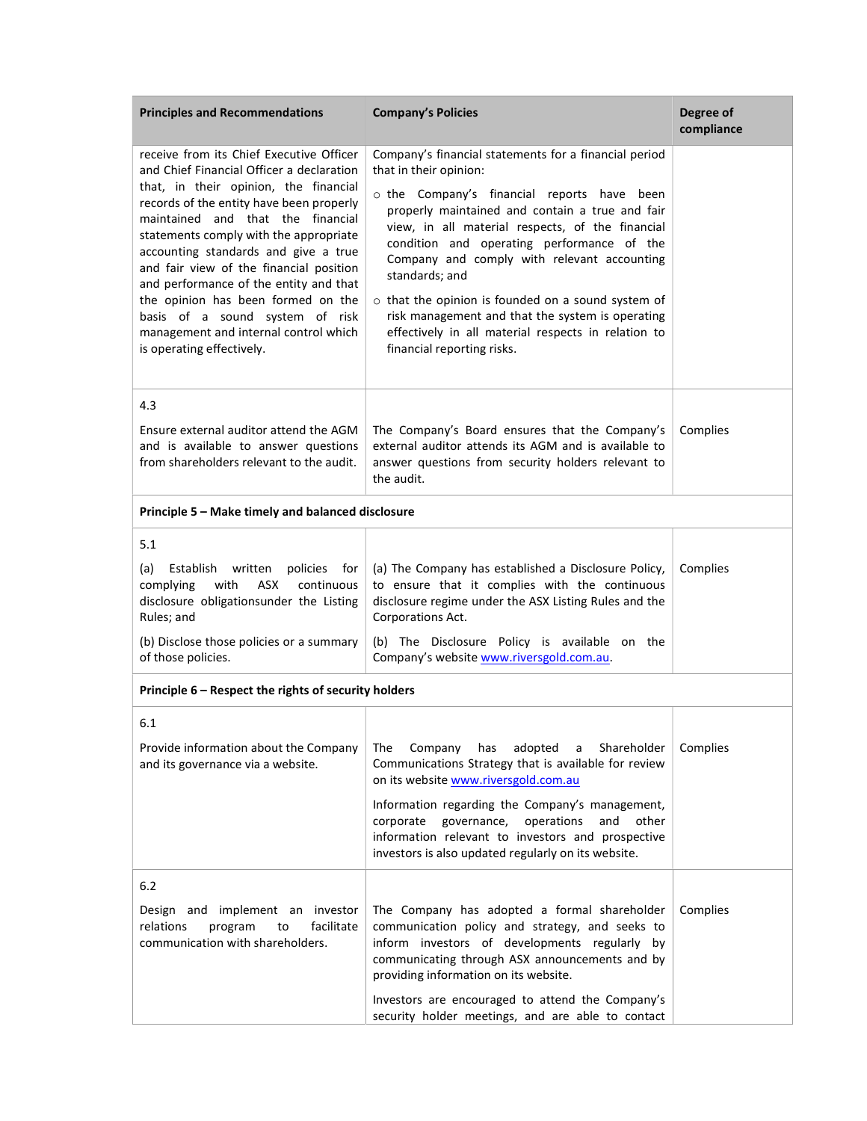| <b>Principles and Recommendations</b>                                                                                                                                                                                                                                                                                                                                                                                                                                                                                                 | <b>Company's Policies</b>                                                                                                                                                                                                                                                                                                                                                                                                                                                                                                                                 | Degree of<br>compliance |
|---------------------------------------------------------------------------------------------------------------------------------------------------------------------------------------------------------------------------------------------------------------------------------------------------------------------------------------------------------------------------------------------------------------------------------------------------------------------------------------------------------------------------------------|-----------------------------------------------------------------------------------------------------------------------------------------------------------------------------------------------------------------------------------------------------------------------------------------------------------------------------------------------------------------------------------------------------------------------------------------------------------------------------------------------------------------------------------------------------------|-------------------------|
| receive from its Chief Executive Officer<br>and Chief Financial Officer a declaration<br>that, in their opinion, the financial<br>records of the entity have been properly<br>maintained and that the financial<br>statements comply with the appropriate<br>accounting standards and give a true<br>and fair view of the financial position<br>and performance of the entity and that<br>the opinion has been formed on the<br>basis of a sound system of risk<br>management and internal control which<br>is operating effectively. | Company's financial statements for a financial period<br>that in their opinion:<br>o the Company's financial reports have been<br>properly maintained and contain a true and fair<br>view, in all material respects, of the financial<br>condition and operating performance of the<br>Company and comply with relevant accounting<br>standards; and<br>$\circ$ that the opinion is founded on a sound system of<br>risk management and that the system is operating<br>effectively in all material respects in relation to<br>financial reporting risks. |                         |
| 4.3<br>Ensure external auditor attend the AGM<br>and is available to answer questions<br>from shareholders relevant to the audit.                                                                                                                                                                                                                                                                                                                                                                                                     | The Company's Board ensures that the Company's<br>external auditor attends its AGM and is available to<br>answer questions from security holders relevant to<br>the audit.                                                                                                                                                                                                                                                                                                                                                                                | Complies                |
| Principle 5 - Make timely and balanced disclosure                                                                                                                                                                                                                                                                                                                                                                                                                                                                                     |                                                                                                                                                                                                                                                                                                                                                                                                                                                                                                                                                           |                         |
| 5.1<br>(a)<br>Establish written<br>policies<br>for<br>complying<br>with<br>ASX<br>continuous<br>disclosure obligationsunder the Listing<br>Rules; and<br>(b) Disclose those policies or a summary<br>of those policies.                                                                                                                                                                                                                                                                                                               | (a) The Company has established a Disclosure Policy,<br>to ensure that it complies with the continuous<br>disclosure regime under the ASX Listing Rules and the<br>Corporations Act.<br>(b) The Disclosure Policy is available on the<br>Company's website www.riversgold.com.au.                                                                                                                                                                                                                                                                         | Complies                |
| Principle 6 - Respect the rights of security holders                                                                                                                                                                                                                                                                                                                                                                                                                                                                                  |                                                                                                                                                                                                                                                                                                                                                                                                                                                                                                                                                           |                         |
| 6.1<br>Provide information about the Company<br>and its governance via a website.                                                                                                                                                                                                                                                                                                                                                                                                                                                     | adopted<br>Shareholder<br>The<br>Company<br>has<br>a<br>Communications Strategy that is available for review<br>on its website www.riversgold.com.au<br>Information regarding the Company's management,<br>governance,<br>corporate<br>operations<br>and<br>other<br>information relevant to investors and prospective<br>investors is also updated regularly on its website.                                                                                                                                                                             | Complies                |
| 6.2<br>Design and implement an investor<br>facilitate<br>relations<br>program<br>to<br>communication with shareholders.                                                                                                                                                                                                                                                                                                                                                                                                               | The Company has adopted a formal shareholder<br>communication policy and strategy, and seeks to<br>inform investors of developments regularly by<br>communicating through ASX announcements and by<br>providing information on its website.<br>Investors are encouraged to attend the Company's<br>security holder meetings, and are able to contact                                                                                                                                                                                                      | Complies                |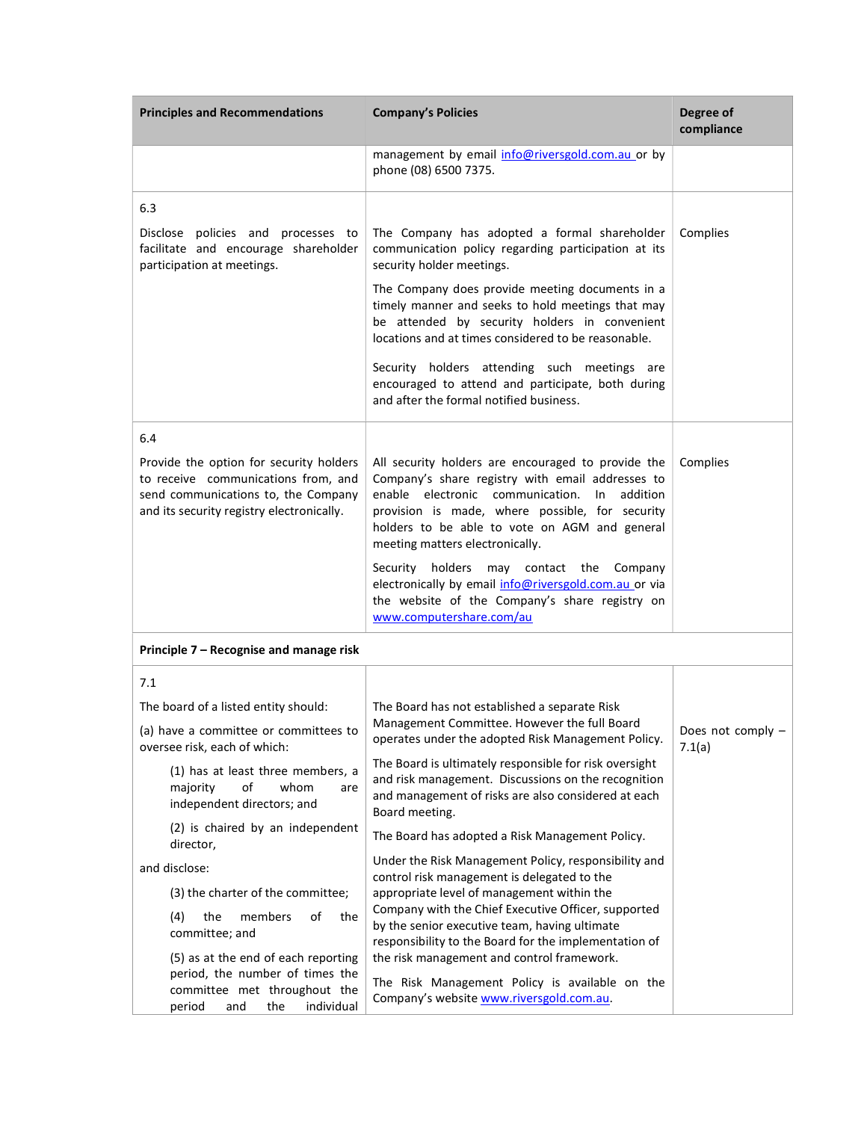| <b>Principles and Recommendations</b>                                                                                                                              | <b>Company's Policies</b>                                                                                                                                                                                                                                                                           | Degree of<br>compliance   |
|--------------------------------------------------------------------------------------------------------------------------------------------------------------------|-----------------------------------------------------------------------------------------------------------------------------------------------------------------------------------------------------------------------------------------------------------------------------------------------------|---------------------------|
|                                                                                                                                                                    | management by email info@riversgold.com.au or by<br>phone (08) 6500 7375.                                                                                                                                                                                                                           |                           |
| 6.3                                                                                                                                                                |                                                                                                                                                                                                                                                                                                     |                           |
| Disclose policies and processes to<br>facilitate and encourage shareholder<br>participation at meetings.                                                           | The Company has adopted a formal shareholder<br>communication policy regarding participation at its<br>security holder meetings.                                                                                                                                                                    | Complies                  |
|                                                                                                                                                                    | The Company does provide meeting documents in a<br>timely manner and seeks to hold meetings that may<br>be attended by security holders in convenient<br>locations and at times considered to be reasonable.                                                                                        |                           |
|                                                                                                                                                                    | Security holders attending such meetings are<br>encouraged to attend and participate, both during<br>and after the formal notified business.                                                                                                                                                        |                           |
| 6.4                                                                                                                                                                |                                                                                                                                                                                                                                                                                                     |                           |
| Provide the option for security holders<br>to receive communications from, and<br>send communications to, the Company<br>and its security registry electronically. | All security holders are encouraged to provide the<br>Company's share registry with email addresses to<br>enable electronic communication.<br>In<br>addition<br>provision is made, where possible, for security<br>holders to be able to vote on AGM and general<br>meeting matters electronically. | Complies                  |
|                                                                                                                                                                    | Security holders<br>may contact the Company<br>electronically by email info@riversgold.com.au or via<br>the website of the Company's share registry on<br>www.computershare.com/au                                                                                                                  |                           |
| Principle 7 – Recognise and manage risk                                                                                                                            |                                                                                                                                                                                                                                                                                                     |                           |
| 7.1                                                                                                                                                                |                                                                                                                                                                                                                                                                                                     |                           |
| The board of a listed entity should:                                                                                                                               | The Board has not established a separate Risk                                                                                                                                                                                                                                                       |                           |
| (a) have a committee or committees to<br>oversee risk, each of which:                                                                                              | Management Committee. However the full Board<br>operates under the adopted Risk Management Policy.                                                                                                                                                                                                  | Does not comply<br>7.1(a) |
| (1) has at least three members, a<br>of<br>majority<br>whom<br>are<br>independent directors; and                                                                   | The Board is ultimately responsible for risk oversight<br>and risk management. Discussions on the recognition<br>and management of risks are also considered at each<br>Board meeting.                                                                                                              |                           |
| (2) is chaired by an independent<br>director,                                                                                                                      | The Board has adopted a Risk Management Policy.                                                                                                                                                                                                                                                     |                           |
| and disclose:                                                                                                                                                      | Under the Risk Management Policy, responsibility and                                                                                                                                                                                                                                                |                           |
| (3) the charter of the committee;                                                                                                                                  | control risk management is delegated to the<br>appropriate level of management within the                                                                                                                                                                                                           |                           |
| (4)<br>the<br>members<br>of<br>the<br>committee; and                                                                                                               | Company with the Chief Executive Officer, supported<br>by the senior executive team, having ultimate<br>responsibility to the Board for the implementation of                                                                                                                                       |                           |
| (5) as at the end of each reporting<br>period, the number of times the<br>committee met throughout the<br>individual<br>period<br>and<br>the                       | the risk management and control framework.<br>The Risk Management Policy is available on the<br>Company's website www.riversgold.com.au.                                                                                                                                                            |                           |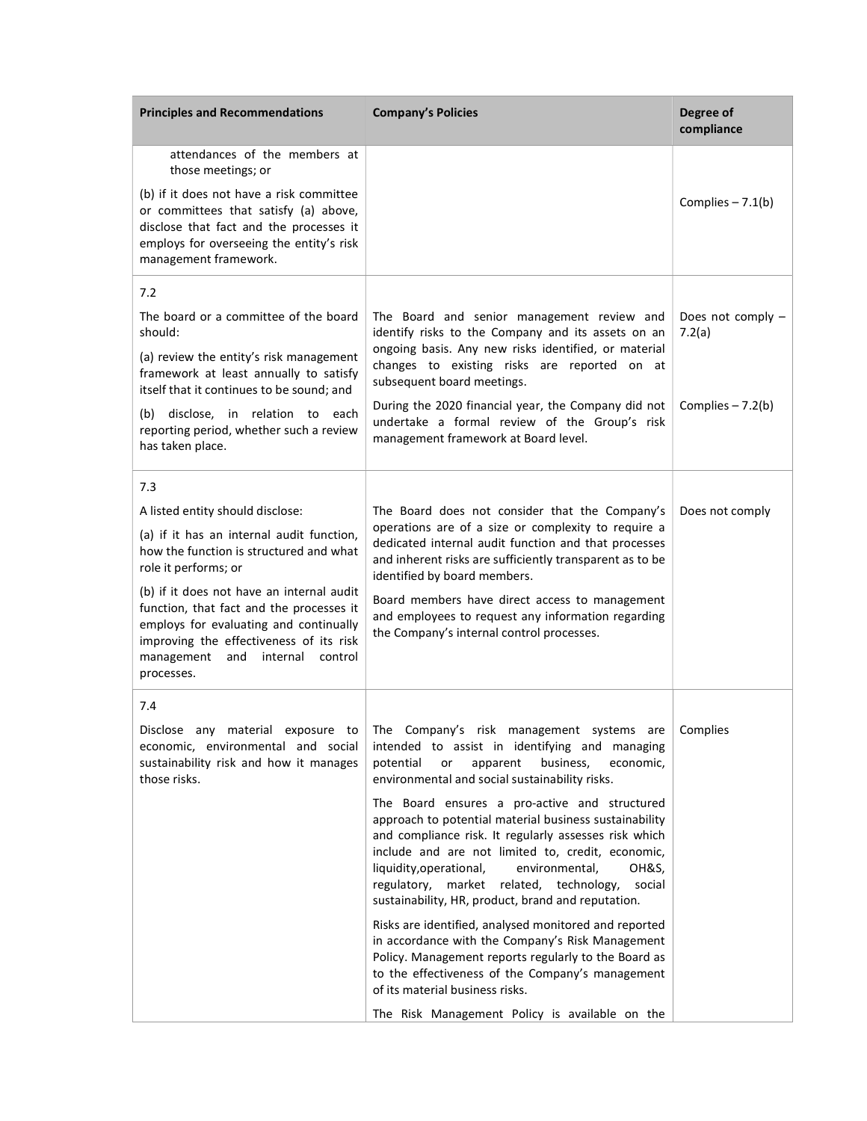| <b>Principles and Recommendations</b>                                                                                                                                                                                                                                                                                                                                                 | <b>Company's Policies</b>                                                                                                                                                                                                                                                                                                                                                                                                                                                                                                                                                                                                                                                                                                                                                                                                                                                                               | Degree of<br>compliance     |
|---------------------------------------------------------------------------------------------------------------------------------------------------------------------------------------------------------------------------------------------------------------------------------------------------------------------------------------------------------------------------------------|---------------------------------------------------------------------------------------------------------------------------------------------------------------------------------------------------------------------------------------------------------------------------------------------------------------------------------------------------------------------------------------------------------------------------------------------------------------------------------------------------------------------------------------------------------------------------------------------------------------------------------------------------------------------------------------------------------------------------------------------------------------------------------------------------------------------------------------------------------------------------------------------------------|-----------------------------|
| attendances of the members at<br>those meetings; or                                                                                                                                                                                                                                                                                                                                   |                                                                                                                                                                                                                                                                                                                                                                                                                                                                                                                                                                                                                                                                                                                                                                                                                                                                                                         |                             |
| (b) if it does not have a risk committee<br>or committees that satisfy (a) above,<br>disclose that fact and the processes it<br>employs for overseeing the entity's risk<br>management framework.                                                                                                                                                                                     |                                                                                                                                                                                                                                                                                                                                                                                                                                                                                                                                                                                                                                                                                                                                                                                                                                                                                                         | Complies $-7.1(b)$          |
| 7.2                                                                                                                                                                                                                                                                                                                                                                                   |                                                                                                                                                                                                                                                                                                                                                                                                                                                                                                                                                                                                                                                                                                                                                                                                                                                                                                         |                             |
| The board or a committee of the board<br>should:                                                                                                                                                                                                                                                                                                                                      | The Board and senior management review and<br>identify risks to the Company and its assets on an                                                                                                                                                                                                                                                                                                                                                                                                                                                                                                                                                                                                                                                                                                                                                                                                        | Does not comply -<br>7.2(a) |
| (a) review the entity's risk management<br>framework at least annually to satisfy<br>itself that it continues to be sound; and                                                                                                                                                                                                                                                        | ongoing basis. Any new risks identified, or material<br>changes to existing risks are reported on at<br>subsequent board meetings.                                                                                                                                                                                                                                                                                                                                                                                                                                                                                                                                                                                                                                                                                                                                                                      |                             |
| (b) disclose, in relation to each<br>reporting period, whether such a review<br>has taken place.                                                                                                                                                                                                                                                                                      | During the 2020 financial year, the Company did not<br>undertake a formal review of the Group's risk<br>management framework at Board level.                                                                                                                                                                                                                                                                                                                                                                                                                                                                                                                                                                                                                                                                                                                                                            | Complies $-7.2(b)$          |
| 7.3                                                                                                                                                                                                                                                                                                                                                                                   |                                                                                                                                                                                                                                                                                                                                                                                                                                                                                                                                                                                                                                                                                                                                                                                                                                                                                                         |                             |
| A listed entity should disclose:<br>(a) if it has an internal audit function,<br>how the function is structured and what<br>role it performs; or<br>(b) if it does not have an internal audit<br>function, that fact and the processes it<br>employs for evaluating and continually<br>improving the effectiveness of its risk<br>management<br>and<br>internal control<br>processes. | The Board does not consider that the Company's<br>operations are of a size or complexity to require a<br>dedicated internal audit function and that processes<br>and inherent risks are sufficiently transparent as to be<br>identified by board members.<br>Board members have direct access to management<br>and employees to request any information regarding<br>the Company's internal control processes.                                                                                                                                                                                                                                                                                                                                                                                                                                                                                          | Does not comply             |
| 7.4                                                                                                                                                                                                                                                                                                                                                                                   |                                                                                                                                                                                                                                                                                                                                                                                                                                                                                                                                                                                                                                                                                                                                                                                                                                                                                                         |                             |
| economic, environmental and social<br>sustainability risk and how it manages<br>those risks.                                                                                                                                                                                                                                                                                          | Disclose any material exposure to The Company's risk management systems are Complies<br>intended to assist in identifying and managing<br>apparent<br>business,<br>potential<br>or<br>economic,<br>environmental and social sustainability risks.<br>The Board ensures a pro-active and structured<br>approach to potential material business sustainability<br>and compliance risk. It regularly assesses risk which<br>include and are not limited to, credit, economic,<br>liquidity, operational,<br>environmental,<br>OH&S.<br>regulatory, market related, technology,<br>social<br>sustainability, HR, product, brand and reputation.<br>Risks are identified, analysed monitored and reported<br>in accordance with the Company's Risk Management<br>Policy. Management reports regularly to the Board as<br>to the effectiveness of the Company's management<br>of its material business risks. |                             |
|                                                                                                                                                                                                                                                                                                                                                                                       | The Risk Management Policy is available on the                                                                                                                                                                                                                                                                                                                                                                                                                                                                                                                                                                                                                                                                                                                                                                                                                                                          |                             |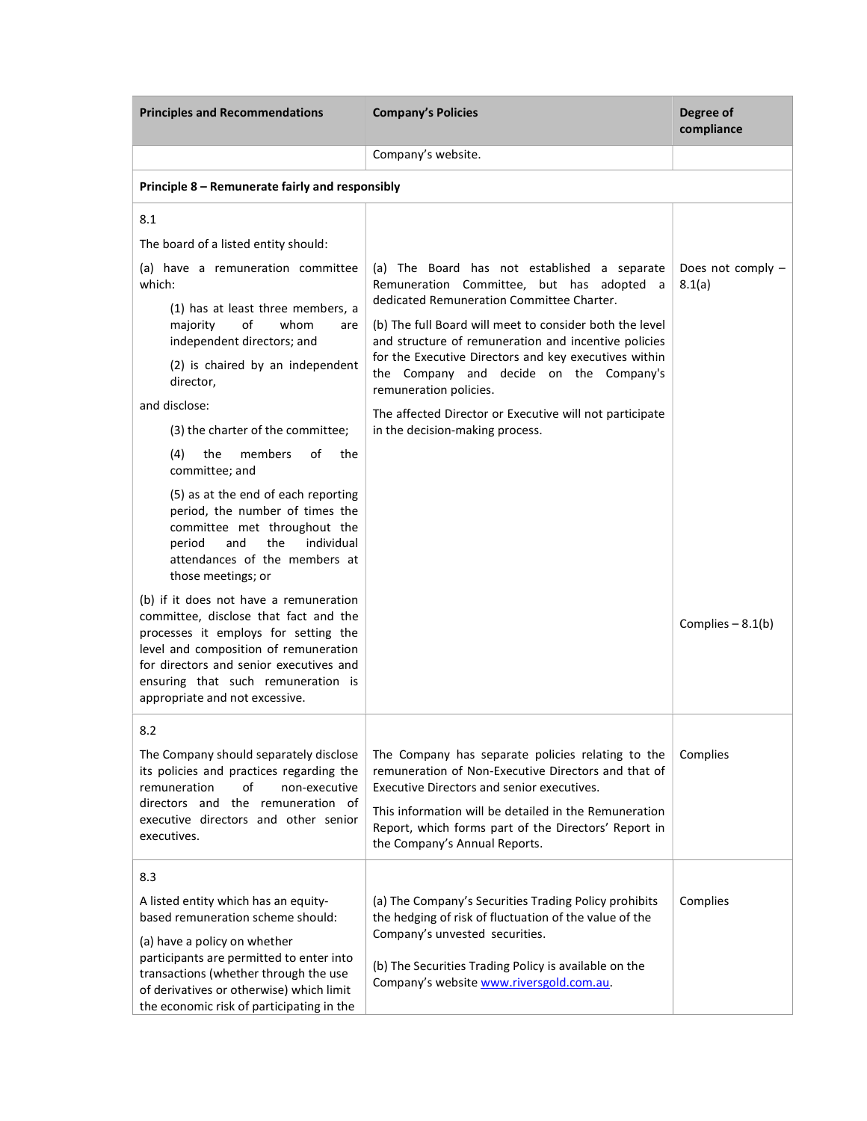| <b>Principles and Recommendations</b>                                                                                                                                                                                                                                                                                                                                                                                                                                                      | <b>Company's Policies</b>                                                                                                                                                                                                                                                                                                                                                                                                                                                             | Degree of<br>compliance     |
|--------------------------------------------------------------------------------------------------------------------------------------------------------------------------------------------------------------------------------------------------------------------------------------------------------------------------------------------------------------------------------------------------------------------------------------------------------------------------------------------|---------------------------------------------------------------------------------------------------------------------------------------------------------------------------------------------------------------------------------------------------------------------------------------------------------------------------------------------------------------------------------------------------------------------------------------------------------------------------------------|-----------------------------|
|                                                                                                                                                                                                                                                                                                                                                                                                                                                                                            | Company's website.                                                                                                                                                                                                                                                                                                                                                                                                                                                                    |                             |
| Principle 8 – Remunerate fairly and responsibly                                                                                                                                                                                                                                                                                                                                                                                                                                            |                                                                                                                                                                                                                                                                                                                                                                                                                                                                                       |                             |
| 8.1<br>The board of a listed entity should:<br>(a) have a remuneration committee<br>which:<br>(1) has at least three members, a<br>of<br>whom<br>majority<br>are<br>independent directors; and<br>(2) is chaired by an independent<br>director,<br>and disclose:<br>(3) the charter of the committee;<br>(4)<br>the<br>members<br>οf<br>the<br>committee; and                                                                                                                              | (a) The Board has not established a separate<br>Remuneration Committee, but has adopted a<br>dedicated Remuneration Committee Charter.<br>(b) The full Board will meet to consider both the level<br>and structure of remuneration and incentive policies<br>for the Executive Directors and key executives within<br>the Company and decide on the Company's<br>remuneration policies.<br>The affected Director or Executive will not participate<br>in the decision-making process. | Does not comply -<br>8.1(a) |
| (5) as at the end of each reporting<br>period, the number of times the<br>committee met throughout the<br>and<br>the<br>individual<br>period<br>attendances of the members at<br>those meetings; or<br>(b) if it does not have a remuneration<br>committee, disclose that fact and the<br>processes it employs for setting the<br>level and composition of remuneration<br>for directors and senior executives and<br>ensuring that such remuneration is<br>appropriate and not excessive. |                                                                                                                                                                                                                                                                                                                                                                                                                                                                                       | Complies $-8.1(b)$          |
| 8.2<br>The Company should separately disclose<br>its policies and practices regarding the<br>remuneration<br>of<br>non-executive<br>directors and the remuneration of<br>executive directors and other senior<br>executives.                                                                                                                                                                                                                                                               | The Company has separate policies relating to the<br>remuneration of Non-Executive Directors and that of<br>Executive Directors and senior executives.<br>This information will be detailed in the Remuneration<br>Report, which forms part of the Directors' Report in<br>the Company's Annual Reports.                                                                                                                                                                              | Complies                    |
| 8.3<br>A listed entity which has an equity-<br>based remuneration scheme should:<br>(a) have a policy on whether<br>participants are permitted to enter into<br>transactions (whether through the use<br>of derivatives or otherwise) which limit<br>the economic risk of participating in the                                                                                                                                                                                             | (a) The Company's Securities Trading Policy prohibits<br>the hedging of risk of fluctuation of the value of the<br>Company's unvested securities.<br>(b) The Securities Trading Policy is available on the<br>Company's website www.riversgold.com.au.                                                                                                                                                                                                                                | Complies                    |